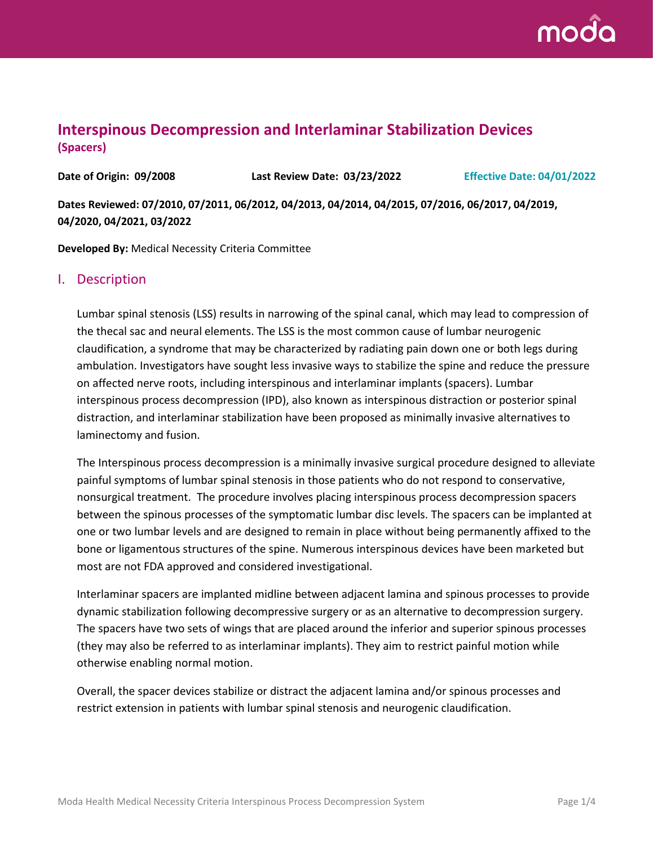

# **Interspinous Decompression and Interlaminar Stabilization Devices (Spacers)**

**Date of Origin: 09/2008 Last Review Date: 03/23/2022 Effective Date: 04/01/2022**

**Dates Reviewed: 07/2010, 07/2011, 06/2012, 04/2013, 04/2014, 04/2015, 07/2016, 06/2017, 04/2019, 04/2020, 04/2021, 03/2022**

**Developed By:** Medical Necessity Criteria Committee

### I. Description

Lumbar spinal stenosis (LSS) results in narrowing of the spinal canal, which may lead to compression of the thecal sac and neural elements. The LSS is the most common cause of lumbar neurogenic claudification, a syndrome that may be characterized by radiating pain down one or both legs during ambulation. Investigators have sought less invasive ways to stabilize the spine and reduce the pressure on affected nerve roots, including interspinous and interlaminar implants (spacers). Lumbar interspinous process decompression (IPD), also known as interspinous distraction or posterior spinal distraction, and interlaminar stabilization have been proposed as minimally invasive alternatives to laminectomy and fusion.

The Interspinous process decompression is a minimally invasive surgical procedure designed to alleviate painful symptoms of lumbar spinal stenosis in those patients who do not respond to conservative, nonsurgical treatment. The procedure involves placing interspinous process decompression spacers between the spinous processes of the symptomatic lumbar disc levels. The spacers can be implanted at one or two lumbar levels and are designed to remain in place without being permanently affixed to the bone or ligamentous structures of the spine. Numerous interspinous devices have been marketed but most are not FDA approved and considered investigational.

Interlaminar spacers are implanted midline between adjacent lamina and spinous processes to provide dynamic stabilization following decompressive surgery or as an alternative to decompression surgery. The spacers have two sets of wings that are placed around the inferior and superior spinous processes (they may also be referred to as interlaminar implants). They aim to restrict painful motion while otherwise enabling normal motion.

Overall, the spacer devices stabilize or distract the adjacent lamina and/or spinous processes and restrict extension in patients with lumbar spinal stenosis and neurogenic claudification.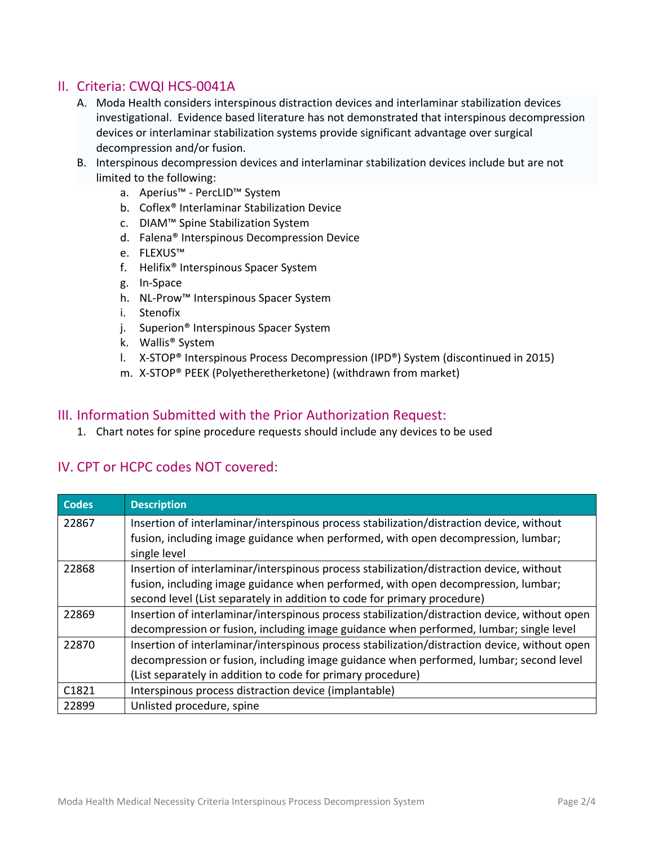# II. Criteria: CWQI HCS-0041A

- A. Moda Health considers interspinous distraction devices and interlaminar stabilization devices investigational. Evidence based literature has not demonstrated that interspinous decompression devices or interlaminar stabilization systems provide significant advantage over surgical decompression and/or fusion.
- B. Interspinous decompression devices and interlaminar stabilization devices include but are not limited to the following:
	- a. Aperius™ PercLID™ System
	- b. Coflex® Interlaminar Stabilization Device
	- c. DIAM™ Spine Stabilization System
	- d. Falena® Interspinous Decompression Device
	- e. FLEXUS™
	- f. Helifix® Interspinous Spacer System
	- g. In-Space
	- h. NL-Prow™ Interspinous Spacer System
	- i. Stenofix
	- j. Superion® Interspinous Spacer System
	- k. Wallis® System
	- l. X-STOP® Interspinous Process Decompression (IPD®) System (discontinued in 2015)
	- m. X-STOP® PEEK (Polyetheretherketone) (withdrawn from market)

### III. Information Submitted with the Prior Authorization Request:

1. Chart notes for spine procedure requests should include any devices to be used

### IV. CPT or HCPC codes NOT covered:

| <b>Codes</b> | <b>Description</b>                                                                            |
|--------------|-----------------------------------------------------------------------------------------------|
| 22867        | Insertion of interlaminar/interspinous process stabilization/distraction device, without      |
|              | fusion, including image guidance when performed, with open decompression, lumbar;             |
|              | single level                                                                                  |
| 22868        | Insertion of interlaminar/interspinous process stabilization/distraction device, without      |
|              | fusion, including image guidance when performed, with open decompression, lumbar;             |
|              | second level (List separately in addition to code for primary procedure)                      |
| 22869        | Insertion of interlaminar/interspinous process stabilization/distraction device, without open |
|              | decompression or fusion, including image guidance when performed, lumbar; single level        |
| 22870        | Insertion of interlaminar/interspinous process stabilization/distraction device, without open |
|              | decompression or fusion, including image guidance when performed, lumbar; second level        |
|              | (List separately in addition to code for primary procedure)                                   |
| C1821        | Interspinous process distraction device (implantable)                                         |
| 22899        | Unlisted procedure, spine                                                                     |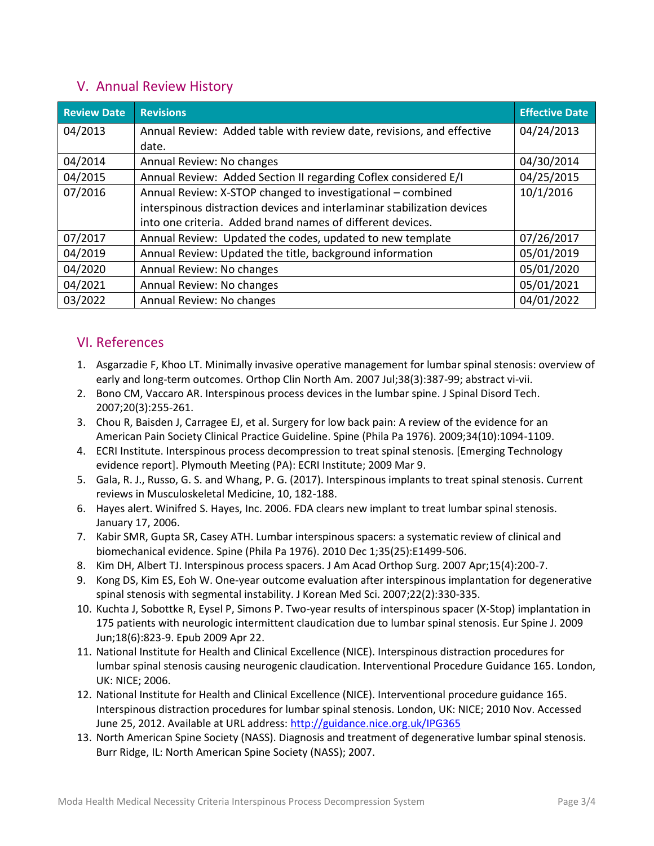# V. Annual Review History

| <b>Review Date</b> | <b>Revisions</b>                                                        | <b>Effective Date</b> |
|--------------------|-------------------------------------------------------------------------|-----------------------|
| 04/2013            | Annual Review: Added table with review date, revisions, and effective   | 04/24/2013            |
|                    | date.                                                                   |                       |
| 04/2014            | Annual Review: No changes                                               | 04/30/2014            |
| 04/2015            | Annual Review: Added Section II regarding Coflex considered E/I         | 04/25/2015            |
| 07/2016            | Annual Review: X-STOP changed to investigational – combined             | 10/1/2016             |
|                    | interspinous distraction devices and interlaminar stabilization devices |                       |
|                    | into one criteria. Added brand names of different devices.              |                       |
| 07/2017            | Annual Review: Updated the codes, updated to new template               | 07/26/2017            |
| 04/2019            | Annual Review: Updated the title, background information                | 05/01/2019            |
| 04/2020            | Annual Review: No changes                                               | 05/01/2020            |
| 04/2021            | Annual Review: No changes                                               | 05/01/2021            |
| 03/2022            | Annual Review: No changes                                               | 04/01/2022            |

# VI. References

- 1. Asgarzadie F, Khoo LT. Minimally invasive operative management for lumbar spinal stenosis: overview of early and long-term outcomes. Orthop Clin North Am. 2007 Jul;38(3):387-99; abstract vi-vii.
- 2. Bono CM, Vaccaro AR. Interspinous process devices in the lumbar spine. J Spinal Disord Tech. 2007;20(3):255-261.
- 3. Chou R, Baisden J, Carragee EJ, et al. Surgery for low back pain: A review of the evidence for an American Pain Society Clinical Practice Guideline. Spine (Phila Pa 1976). 2009;34(10):1094-1109.
- 4. ECRI Institute. Interspinous process decompression to treat spinal stenosis. [Emerging Technology evidence report]. Plymouth Meeting (PA): ECRI Institute; 2009 Mar 9.
- 5. Gala, R. J., Russo, G. S. and Whang, P. G. (2017). Interspinous implants to treat spinal stenosis. Current reviews in Musculoskeletal Medicine, 10, 182-188.
- 6. Hayes alert. Winifred S. Hayes, Inc. 2006. FDA clears new implant to treat lumbar spinal stenosis. January 17, 2006.
- 7. Kabir SMR, Gupta SR, Casey ATH. Lumbar interspinous spacers: a systematic review of clinical and biomechanical evidence. Spine (Phila Pa 1976). 2010 Dec 1;35(25):E1499-506.
- 8. Kim DH, Albert TJ. Interspinous process spacers. J Am Acad Orthop Surg. 2007 Apr;15(4):200-7.
- 9. Kong DS, Kim ES, Eoh W. One-year outcome evaluation after interspinous implantation for degenerative spinal stenosis with segmental instability. J Korean Med Sci. 2007;22(2):330-335.
- 10. Kuchta J, Sobottke R, Eysel P, Simons P. Two-year results of interspinous spacer (X-Stop) implantation in 175 patients with neurologic intermittent claudication due to lumbar spinal stenosis. Eur Spine J. 2009 Jun;18(6):823-9. Epub 2009 Apr 22.
- 11. National Institute for Health and Clinical Excellence (NICE). Interspinous distraction procedures for lumbar spinal stenosis causing neurogenic claudication. Interventional Procedure Guidance 165. London, UK: NICE; 2006.
- 12. National Institute for Health and Clinical Excellence (NICE). Interventional procedure guidance 165. Interspinous distraction procedures for lumbar spinal stenosis. London, UK: NICE; 2010 Nov. Accessed June 25, 2012. Available at URL address:<http://guidance.nice.org.uk/IPG365>
- 13. North American Spine Society (NASS). Diagnosis and treatment of degenerative lumbar spinal stenosis. Burr Ridge, IL: North American Spine Society (NASS); 2007.